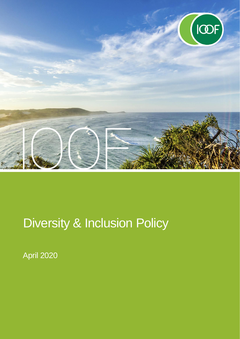

# Diversity & Inclusion Policy

April 2020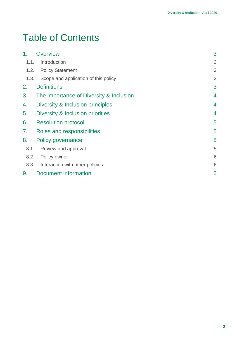# Table of Contents

| 1 <sub>1</sub> | <b>Overview</b>                         | 3              |
|----------------|-----------------------------------------|----------------|
| 1.1.           | Introduction                            | 3              |
| 1.2.           | <b>Policy Statement</b>                 | 3              |
| 1.3.           | Scope and application of this policy    | 3              |
| 2.             | <b>Definitions</b>                      | 3              |
| 3.             | The importance of Diversity & Inclusion | $\overline{4}$ |
| 4.             | Diversity & Inclusion principles        | 4              |
| 5.             | Diversity & Inclusion priorities        | 4              |
| 6.             | <b>Resolution protocol</b>              | 5              |
| 7.             | Roles and responsibilities              | 5              |
| 8.             | Policy governance                       | 5              |
| 8.1.           | Review and approval                     | 5              |
| 8.2.           | Policy owner                            | 6              |
| 8.3.           | Interaction with other policies         | 6              |
| 9.             | <b>Document information</b>             | 6              |
|                |                                         |                |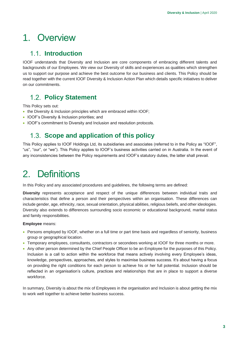# <span id="page-2-0"></span>1. Overview

#### <span id="page-2-1"></span>**1.1.** Introduction

IOOF understands that Diversity and Inclusion are core components of embracing different talents and backgrounds of our Employees. We view our Diversity of skills and experiences as qualities which strengthen us to support our purpose and achieve the best outcome for our business and clients. This Policy should be read together with the current IOOF Diversity & Inclusion Action Plan which details specific initiatives to deliver on our commitments.

#### <span id="page-2-2"></span>**Policy Statement**

This Policy sets out:

- the Diversity & Inclusion principles which are embraced within IOOF;
- IOOF's Diversity & Inclusion priorities; and
- <span id="page-2-3"></span>• IOOF's commitment to Diversity and Inclusion and resolution protocols.

#### 1.3. **Scope and application of this policy**

This Policy applies to IOOF Holdings Ltd, its subsidiaries and associates (referred to in the Policy as "IOOF", "us", "our", or "we"). This Policy applies to IOOF's business activities carried on in Australia. In the event of any inconsistencies between the Policy requirements and IOOF's statutory duties, the latter shall prevail.

# <span id="page-2-4"></span>2. Definitions

In this Policy and any associated procedures and guidelines, the following terms are defined:

**Diversity** represents acceptance and respect of the unique differences between individual traits and characteristics that define a person and their perspectives within an organisation. These differences can include gender, age, ethnicity, race, sexual orientation, physical abilities, religious beliefs, and other ideologies. Diversity also extends to differences surrounding socio economic or educational background, marital status and family responsibilities.

#### **Employee** means:

- Persons employed by IOOF, whether on a full time or part time basis and regardless of seniority, business group or geographical location.
- Temporary employees, consultants, contractors or secondees working at IOOF for three months or more.
- Any other person determined by the Chief People Officer to be an Employee for the purposes of this Policy. Inclusion is a call to action within the workforce that means actively involving every Employee's ideas, knowledge, perspectives, approaches, and styles to maximise business success. It's about having a focus on providing the right conditions for each person to achieve his or her full potential. Inclusion should be reflected in an organisation's culture, practices and relationships that are in place to support a diverse workforce.

In summary, Diversity is about the mix of Employees in the organisation and Inclusion is about getting the mix to work well together to achieve better business success.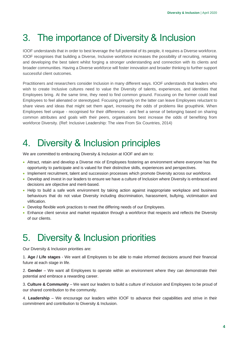# <span id="page-3-0"></span>3. The importance of Diversity & Inclusion

IOOF understands that in order to best leverage the full potential of its people, it requires a Diverse workforce. IOOF recognises that building a Diverse, Inclusive workforce increases the possibility of recruiting, retaining and developing the best talent whilst forging a stronger understanding and connection with its clients and broader communities. Having a Diverse workforce will foster innovation and broader thinking to further support successful client outcomes.

Practitioners and researchers consider Inclusion in many different ways. IOOF understands that leaders who wish to create Inclusive cultures need to value the Diversity of talents, experiences, and identities that Employees bring. At the same time, they need to find common ground. Focusing on the former could lead Employees to feel alienated or stereotyped. Focusing primarily on the latter can leave Employees reluctant to share views and ideas that might set them apart, increasing the odds of problems like groupthink. When Employees feel unique - recognised for their differences - and feel a sense of belonging based on sharing common attributes and goals with their peers, organisations best increase the odds of benefiting from workforce Diversity. (Ref: Inclusive Leadership: The view From Six Countries, 2014)

# <span id="page-3-1"></span>4. Diversity & Inclusion principles

We are committed to embracing Diversity & Inclusion at IOOF and aim to:

- Attract, retain and develop a Diverse mix of Employees fostering an environment where everyone has the opportunity to participate and is valued for their distinctive skills, experiences and perspectives.
- Implement recruitment, talent and succession processes which promote Diversity across our workforce.
- Develop and invest in our leaders to ensure we have a culture of Inclusion where Diversity is embraced and decisions are objective and merit-based.
- Help to build a safe work environment by taking action against inappropriate workplace and business behaviours that do not value Diversity including discrimination, harassment, bullying, victimisation and vilification.
- Develop flexible work practices to meet the differing needs of our Employees.
- Enhance client service and market reputation through a workforce that respects and reflects the Diversity of our clients.

# <span id="page-3-2"></span>5. Diversity & Inclusion priorities

Our Diversity & Inclusion priorities are:

1. **Age / Life stages** - We want all Employees to be able to make informed decisions around their financial future at each stage in life.

2. **Gender** – We want all Employees to operate within an environment where they can demonstrate their potential and embrace a rewarding career.

3. **Culture & Community** – We want our leaders to build a culture of inclusion and Employees to be proud of our shared contribution to the community.

4. **Leadership** – We encourage our leaders within IOOF to advance their capabilities and strive in their commitment and contribution to Diversity & Inclusion.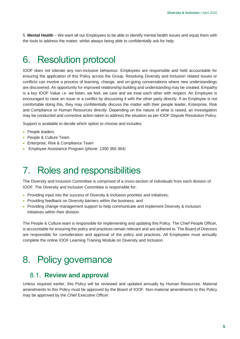5. **Mental Health** – We want all our Employees to be able to identify mental health issues and equip them with the tools to address the matter, whilst always being able to confidentially ask for help.

### <span id="page-4-0"></span>6. Resolution protocol

IOOF does not tolerate any non-inclusive behaviour. Employees are responsible and held accountable for ensuring the application of this Policy across the Group. Resolving Diversity and Inclusion related issues or conflicts can involve a process of learning, change, and on-going conversations where new understandings are discovered. An opportunity for improved relationship building and understanding may be created. Empathy is a key IOOF Value i.e. we listen, we feel, we care and we treat each other with respect. An Employee is encouraged to raise an issue or a conflict by discussing it with the other party directly. If an Employee is not comfortable doing this, they may confidentially discuss the matter with their people leader, Enterprise, Risk and Compliance or Human Resources directly. Depending on the nature of what is raised, an investigation may be conducted and corrective action taken to address the situation as per IOOF Dispute Resolution Policy.

Support is available to decide which option to choose and includes:

- People leaders
- People & Culture Team
- Enterprise, Risk & Compliance Team
- Employee Assistance Program (phone: 1300 360 364)

## <span id="page-4-1"></span>7. Roles and responsibilities

The Diversity and Inclusion Committee is comprised of a cross-section of individuals from each division of IOOF. The Diversity and Inclusion Committee is responsible for:

- Providing input into the success of Diversity & Inclusion priorities and initiatives;
- Providing feedback on Diversity barriers within the business; and
- Providing change management support to help communicate and implement Diversity & Inclusion initiatives within their division.

The People & Culture team is responsible for implementing and updating this Policy. The Chief People Officer, is accountable for ensuring the policy and practices remain relevant and are adhered to. The Board of Directors are responsible for consideration and approval of the policy and practices. All Employees must annually complete the online IOOF Learning Training Module on Diversity and Inclusion.

## <span id="page-4-2"></span>8. Policy governance

#### <span id="page-4-3"></span>**Review and approval**

Unless required earlier, this Policy will be reviewed and updated annually by Human Resources. Material amendments to this Policy must be approved by the Board of IOOF. Non-material amendments to this Policy may be approved by the Chief Executive Officer.